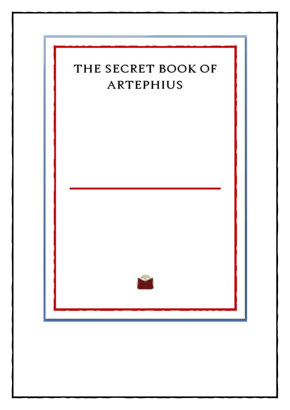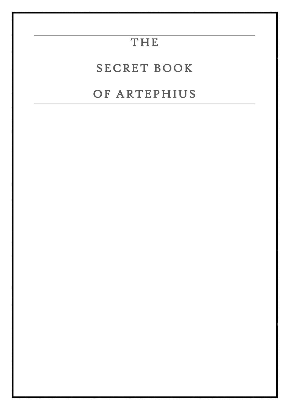## THE

# SECRET BOOK

## OF ARTEPHIUS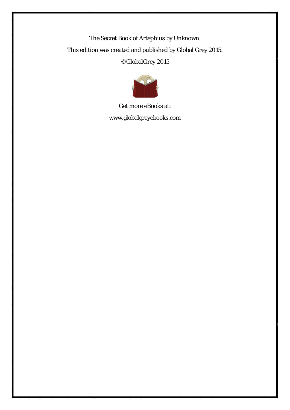The Secret Book of Artephius by Unknown. This edition was created and published by Global Grey 2015. ©GlobalGrey 2015



Get more eBooks at: www.globalgreyebooks.com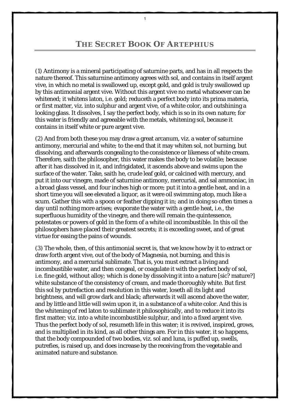#### **THE SECRET BOOK OF ARTEPHIUS**

1

(1) Antimony is a mineral participating of saturnine parts, and has in all respects the nature thereof. This saturnine antimony agrees with sol, and contains in itself argent vive, in which no metal is swallowed up, except gold, and gold is truly swallowed up by this antimonial argent vive. Without this argent vive no metal whatsoever can be whitened; it whitens laton, i.e. gold; reduceth a perfect body into its prima materia, or first matter, viz. into sulphur and argent vive, of a white color, and outshining a looking glass. It dissolves, I say the perfect body, which is so in its own nature; for this water is friendly and agreeable with the metals, whitening sol, because it contains in itself white or pure argent vive.

(2) And from both these you may draw a great arcanum, viz. a water of saturnine antimony, mercurial and white; to the end that it may whiten sol, not burning, but dissolving, and afterwards congealing to the consistence or likeness of white cream. Therefore, saith the philosopher, this water makes the body to be volatile; because after it has dissolved in it, and infrigidated, it ascends above and swims upon the surface of the water. Take, saith he, crude leaf gold, or calcined with mercury, and put it into our vinegre, made of saturnine antimony, mercurial, and sal ammoniac, in a broad glass vessel, and four inches high or more; put it into a gentle heat, and in a short time you will see elevated a liquor, as it were oil swimming atop, much like a scum. Gather this with a spoon or feather dipping it in; and in doing so often times a day until nothing more arises; evaporate the water with a gentle heat, i.e., the superfluous humidity of the vinegre, and there will remain the quintessence, potestates or powers of gold in the form of a white oil incombustible. In this oil the philosophers have placed their greatest secrets; it is exceeding sweet, and of great virtue for easing the pains of wounds.

(3) The whole, then, of this antimonial secret is, that we know how by it to extract or draw forth argent vive, out of the body of Magnesia, not burning, and this is antimony, and a mercurial sublimate. That is, you must extract a living and incombustible water, and then congeal, or coagulate it with the perfect body of sol, i.e. fine gold, without alloy; which is done by dissolving it into a nature [sic? mature?] white substance of the consistency of cream, and made thoroughly white. But first this sol by putrefaction and resolution in this water, loseth all its light and brightness, and will grow dark and black; afterwards it will ascend above the water, and by little and little will swim upon it, in a substance of a white color. And this is the whitening of red laton to sublimate it philosophically, and to reduce it into its first matter; viz. into a white incombustible sulphur, and into a fixed argent vive. Thus the perfect body of sol, resumeth life in this water; it is revived, inspired, grows, and is multiplied in its kind, as all other things are. For in this water, it so happens, that the body compounded of two bodies, viz. sol and luna, is puffed up, swells, putrefies, is raised up, and does increase by the receiving from the vegetable and animated nature and substance.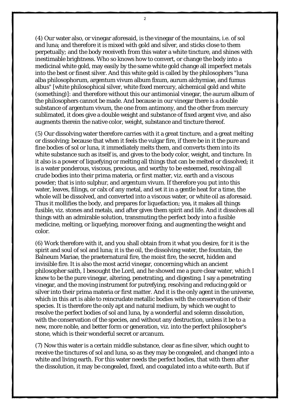(4) Our water also, or vinegar aforesaid, is the vinegar of the mountains, i.e. of sol and luna; and therefore it is mixed with gold and silver, and sticks close to them perpetually; and the body receiveth from this water a white tincture, and shines with inestimable brightness. Who so knows how to convert, or change the body into a medicinal white gold, may easily by the same white gold change all imperfect metals into the best or finest silver. And this white gold is called by the philosophers "luna alba philosophorum, argentum vivum album fixum, aurum alchymiae, and fumus albus" [white philosophical silver, white fixed mercury, alchemical gold and white (something)]: and therefore without this our antimonial vinegar, the aurum album of the philosophers cannot be made. And because in our vinegar there is a double substance of argentum vivum, the one from antimony, and the other from mercury sublimated, it does give a double weight and substance of fixed argent vive, and also augments therein the native color, weight, substance and tincture thereof.

(5) Our dissolving water therefore carries with it a great tincture, and a great melting or dissolving; because that when it feels the vulgar fire, if there be in it the pure and fine bodies of sol or luna, it immediately melts them, and converts them into its white substance such as itself is, and gives to the body color, weight, and tincture. In it also is a power of liquefying or melting all things that can be melted or dissolved; it is a water ponderous, viscous, precious, and worthy to be esteemed, resolving all crude bodies into their prima materia, or first matter, viz. earth and a viscous powder; that is into sulphur, and argentum vivum. If therefore you put into this water, leaves, filings, or calx of any metal, and set it in a gentle heat for a time, the whole will be dissolved, and converted into a viscous water, or white oil as aforesaid. Thus it mollifies the body, and prepares for liquefaction; yea, it makes all things fusible, viz. stones and metals, and after gives them spirit and life. And it dissolves all things with an admirable solution, transmuting the perfect body into a fusible medicine, melting, or liquefying, moreover fixing, and augmenting the weight and color.

(6) Work therefore with it, and you shall obtain from it what you desire, for it is the spirit and soul of sol and luna; it is the oil, the dissolving water, the fountain, the Balneum Mariae, the praeternatural fire, the moist fire, the secret, hidden and invisible fire. It is also the most acrid vinegar, concerning which an ancient philosopher saith, I besought the Lord, and he showed me a pure clear water, which I knew to be the pure vinegar, altering, penetrating, and digesting. I say a penetrating vinegar, and the moving instrument for putrefying, resolving and reducing gold or silver into their prima materia or first matter. And it is the only agent in the universe, which in this art is able to reincrudate metallic bodies with the conservation of their species. It is therefore the only apt and natural medium, by which we ought to resolve the perfect bodies of sol and luna, by a wonderful and solemn dissolution, with the conservation of the species, and without any destruction, unless it be to a new, more noble, and better form or generation, viz. into the perfect philosopher's stone, which is their wonderful secret or arcanum.

(7) Now this water is a certain middle substance, clear as fine silver, which ought to receive the tinctures of sol and luna, so as they may be congealed, and changed into a white and living earth. For this water needs the perfect bodies, that with them after the dissolution, it may be congealed, fixed, and coagulated into a white earth. But if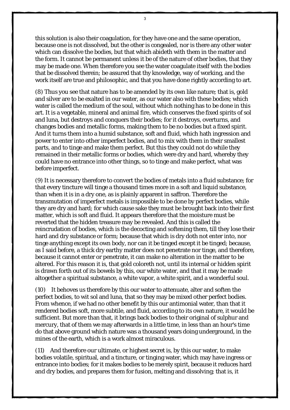this solution is also their coagulation, for they have one and the same operation, because one is not dissolved, but the other is congealed, nor is there any other water which can dissolve the bodies, but that which abideth with them in the matter and the form. It cannot be permanent unless it be of the nature of other bodies, that they may be made one. When therefore you see the water coagulate itself with the bodies that be dissolved therein; be assured that thy knowledge, way of working, and the work itself are true and philosophic, and that you have done rightly according to art.

(8) Thus you see that nature has to be amended by its own like nature; that is, gold and silver are to be exalted in our water, as our water also with these bodies; which water is called the medium of the soul, without which nothing has to be done in this art. It is a vegetable, mineral and animal fire, which conserves the fixed spirits of sol and luna, but destroys and conquers their bodies; for it destroys, overturns, and changes bodies and metallic forms, making them to be no bodies but a fixed spirit. And it turns them into a humid substance, soft and fluid, which hath ingression and power to enter into other imperfect bodies, and to mix with them in their smallest parts, and to tinge and make them perfect. But this they could not do while they remained in their metallic forms or bodies, which were dry and hard, whereby they could have no entrance into other things, so to tinge and make perfect, what was before imperfect.

(9) It is necessary therefore to convert the bodies of metals into a fluid substance; for that every tincture will tinge a thousand times more in a soft and liquid substance, than when it is in a dry one, as is plainly apparent in saffron. Therefore the transmutation of imperfect metals is impossible to be done by perfect bodies, while they are dry and hard; for which cause sake they must be brought back into their first matter, which is soft and fluid. It appears therefore that the moisture must be reverted that the hidden treasure may be revealed. And this is called the reincrudation of bodies, which is the decocting and softening them, till they lose their hard and dry substance or form; because that which is dry doth not enter into, nor tinge anything except its own body, nor can it be tinged except it be tinged; because, as I said before, a thick dry earthy matter does not penetrate nor tinge, and therefore, because it cannot enter or penetrate, it can make no alteration in the matter to be altered. For this reason it is, that gold coloreth not, until its internal or hidden spirit is drawn forth out of its bowels by this, our white water, and that it may be made altogether a spiritual substance, a white vapor, a white spirit, and a wonderful soul.

(10) It behoves us therefore by this our water to attenuate, alter and soften the perfect bodies, to wit sol and luna, that so they may be mixed other perfect bodies. From whence, if we had no other benefit by this our antimonial water, than that it rendered bodies soft, more subtile, and fluid, according to its own nature, it would be sufficient. But more than that, it brings back bodies to their original of sulphur and mercury, that of them we may afterwards in a little time, in less than an hour's time do that above ground which nature was a thousand years doing underground, in the mines of the earth, which is a work almost miraculous.

(11) And therefore our ultimate, or highest secret is, by this our water, to make bodies volatile, spiritual, and a tincture, or tinging water, which may have ingress or entrance into bodies; for it makes bodies to be merely spirit, because it reduces hard and dry bodies, and prepares them for fusion, melting and dissolving; that is, it

 $\mathbf{z}$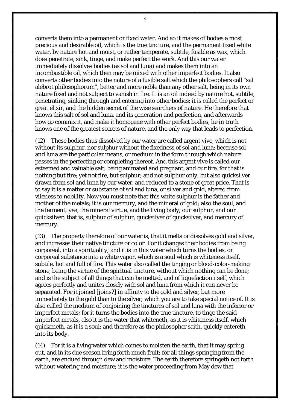converts them into a permanent or fixed water. And so it makes of bodies a most precious and desirable oil, which is the true tincture, and the permanent fixed white water, by nature hot and moist, or rather temperate, subtile, fusible as wax, which does penetrate, sink, tinge, and make perfect the work. And this our water immediately dissolves bodies (as sol and luna) and makes them into an incombustible oil, which then may be mixed with other imperfect bodies. It also converts other bodies into the nature of a fusible salt which the philosophers call "sal alebrot philosophorum", better and more noble than any other salt, being in its own nature fixed and not subject to vanish in fire. It is an oil indeed by nature hot, subtile, penetrating, sinking through and entering into other bodies; it is called the perfect or great elixir, and the hidden secret of the wise searchers of nature. He therefore that knows this salt of sol and luna, and its generation and perfection, and afterwards how go commix it, and make it homogene with other perfect bodies, he in truth knows one of the greatest secrets of nature, and the only way that leads to perfection.

(12) These bodies thus dissolved by our water are called argent vive, which is not without its sulphur, nor sulphur without the fixedness of sol and luna; because sol and luna are the particular means, or medium in the form through which nature passes in the perfecting or completing thereof. And this argent vive is called our esteemed and valuable salt, being animated and pregnant, and our fire, for that is nothing but fire; yet not fire, but sulphur; and not sulphur only, but also quicksilver drawn from sol and luna by our water, and reduced to a stone of great price. That is to say it is a matter or substance of sol and luna, or silver and gold, altered from vileness to nobility. Now you must note that this white sulphur is the father and mother of the metals; it is our mercury, and the mineral of gold; also the soul, and the ferment; yea, the mineral virtue, and the living body; our sulphur, and our quicksilver; that is, sulphur of sulphur, quicksilver of quicksilver, and mercury of mercury.

(13) The property therefore of our water is, that it melts or dissolves gold and silver, and increases their native tincture or color. For it changes their bodies from being corporeal, into a spirituality; and it is in this water which turns the bodies, or corporeal substance into a white vapor, which is a soul which is whiteness itself, subtile, hot and full of fire. This water also called the tinging or blood-color-making stone, being the virtue of the spiritual tincture, without which nothing can be done; and is the subject of all things that can be melted, and of liquefaction itself, which agrees perfectly and unites closely with sol and luna from which it can never be separated. For it joined [joins?] in affinity to the gold and silver, but more immediately to the gold than to the silver; which you are to take special notice of. It is also called the medium of conjoining the tinctures of sol and luna with the inferior or imperfect metals; for it turns the bodies into the true tincture, to tinge the said imperfect metals, also it is the water that whiteneth, as it is whiteness itself, which quickeneth, as it is a soul; and therefore as the philosopher saith, quickly entereth into its body.

(14) For it is a living water which comes to moisten the earth, that it may spring out, and in its due season bring forth much fruit; for all things springing from the earth, are endued through dew and moisture. The earth therefore springeth not forth without watering and moisture; it is the water proceeding from May dew that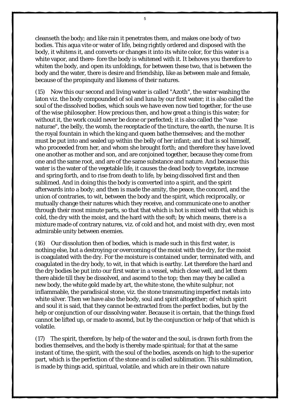cleanseth the body; and like rain it penetrates them, and makes one body of two bodies. This aqua vite or water of life, being rightly ordered and disposed with the body, it whitens it, and converts or changes it into its white color, for this water is a white vapor, and there- fore the body is whitened with it. It behoves you therefore to whiten the body, and open its unfoldings, for between these two, that is between the body and the water, there is desire and friendship, like as between male and female, because of the propinquity and likeness of their natures.

(15) Now this our second and living water is called "Azoth", the water washing the laton viz. the body compounded of sol and luna by our first water; it is also called the soul of the dissolved bodies, which souls we have even now tied together, for the use of the wise philosopher. How precious then, and how great a thing is this water; for without it, the work could never be done or perfected; it is also called the "vase naturae", the belly, the womb, the receptacle of the tincture, the earth, the nurse. It is the royal fountain in which the king and queen bathe themselves; and the mother must be put into and sealed up within the belly of her infant; and that is sol himself, who proceeded from her, and whom she brought forth; and therefore they have loved one another as mother and son, and are conjoined together, because they come from one and the same root, and are of the same substance and nature. And because this water is the water of the vegetable life, it causes the dead body to vegetate, increase and spring forth, and to rise from death to life, by being dissolved first and then sublimed. And in doing this the body is converted into a spirit, and the spirit afterwards into a body; and then is made the amity, the peace, the concord, and the union of contraries, to wit, between the body and the spirit, which reciprocally, or mutually change their natures which they receive, and communicate one to another through their most minute parts, so that that which is hot is mixed with that which is cold, the dry with the moist, and the hard with the soft; by which means, there is a mixture made of contrary natures, viz. of cold and hot, and moist with dry, even most admirable unity between enemies.

(16) Our dissolution then of bodies, which is made such in this first water, is nothing else, but a destroying or overcoming of the moist with the dry, for the moist is coagulated with the dry. For the moisture is contained under, terminated with, and coagulated in the dry body, to wit, in that which is earthy. Let therefore the hard and the dry bodies be put into our first water in a vessel, which close well, and let them there abide till they be dissolved, and ascend to the top; then may they be called a new body, the white gold made by art, the white stone, the white sulphur, not inflammable, the paradisical stone, viz. the stone transmuting imperfect metals into white silver. Then we have also the body, soul and spirit altogether; of which spirit and soul it is said, that they cannot be extracted from the perfect bodies, but by the help or conjunction of our dissolving water. Because it is certain, that the things fixed cannot be lifted up, or made to ascend, but by the conjunction or help of that which is volatile.

(17) The spirit, therefore, by help of the water and the soul, is drawn forth from the bodies themselves, and the body is thereby made spiritual; for that at the same instant of time, the spirit, with the soul of the bodies, ascends on high to the superior part, which is the perfection of the stone and is called sublimation. This sublimation, is made by things acid, spiritual, volatile, and which are in their own nature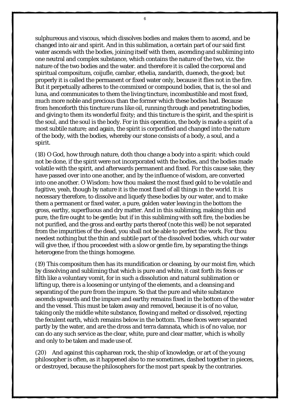sulphureous and viscous, which dissolves bodies and makes them to ascend, and be changed into air and spirit. And in this sublimation, a certain part of our said first water ascends with the bodies, joining itself with them, ascending and subliming into one neutral and complex substance, which contains the nature of the two, viz. the nature of the two bodies and the water. and therefore it is called the corporeal and spiritual compositum, coijufle, cambar, ethelia, zandarith, duenech, the good; but properly it is called the permanent or fixed water only, because it flies not in the fire. But it perpetually adheres to the commixed or compound bodies, that is, the sol and luna, and communicates to them the living tincture, incombustible and most fixed, much more noble and precious than the former which these bodies had. Because from henceforth this tincture runs like oil, running through and penetrating bodies, and giving to them its wonderful fixity; and this tincture is the spirit, and the spirit is the soul, and the soul is the body. For in this operation, the body is made a spirit of a most subtile nature; and again, the spirit is corporified and changed into the nature of the body, with the bodies, whereby our stone consists of a body, a soul, and a spirit.

(18) O God, how through nature, doth thou change a body into a spirit: which could not be done, if the spirit were not incorporated with the bodies, and the bodies made volatile with the spirit, and afterwards permanent and fixed. For this cause sake, they have passed over into one another, and by the influence of wisdom, are converted into one another. O Wisdom: how thou makest the most fixed gold to be volatile and fugitive, yeah, though by nature it is the most fixed of all things in the world. It is necessary therefore, to dissolve and liquefy these bodies by our water, and to make them a permanent or fixed water, a pure, golden water leaving in the bottom the gross, earthy, superfluous and dry matter. And in this subliming, making thin and pure, the fire ought to be gentle; but if in this subliming with soft fire, the bodies be not purified, and the gross and earthy parts thereof (note this well) be not separated from the impurities of the dead, you shall not be able to perfect the work. For thou needest nothing but the thin and subtile part of the dissolved bodies, which our water will give thee, if thou proceedest with a slow or gentle fire, by separating the things heterogene from the things homogene.

(19) This compositum then has its mundification or cleaning, by our moist fire, which by dissolving and subliming that which is pure and white, it cast forth its feces or filth like a voluntary vomit, for in such a dissolution and natural sublimation or lifting up, there is a loosening or untying of the elements, and a cleansing and separating of the pure from the impure. So that the pure and white substance ascends upwards and the impure and earthy remains fixed in the bottom of the water and the vessel. This must be taken away and removed, because it is of no value, taking only the middle white substance, flowing and melted or dissolved, rejecting the feculent earth, which remains below in the bottom. These feces were separated partly by the water, and are the dross and terra damnata, which is of no value, nor can do any such service as the clear, white, pure and clear matter, which is wholly and only to be taken and made use of.

(20) And against this capharean rock, the ship of knowledge, or art of the young philosopher is often, as it happened also to me sometimes, dashed together in pieces, or destroyed, because the philosophers for the most part speak by the contraries.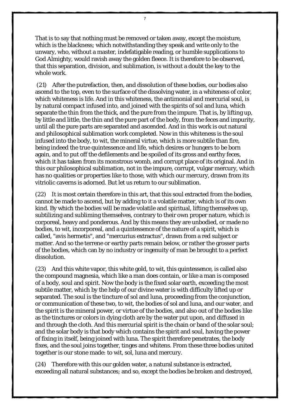That is to say that nothing must be removed or taken away, except the moisture, which is the blackness; which notwithstanding they speak and write only to the unwary, who, without a master, indefatigable reading, or humble supplications to God Almighty, would ravish away the golden fleece. It is therefore to be observed, that this separation, division, and sublimation, is without a doubt the key to the whole work.

(21) After the putrefaction, then, and dissolution of these bodies, our bodies also ascend to the top, even to the surface of the dissolving water, in a whiteness of color, which whiteness is life. And in this whiteness, the antimonial and mercurial soul, is by natural compact infused into, and joined with the spirits of sol and luna, which separate the thin from the thick, and the pure from the impure. That is, by lifting up, by little and little, the thin and the pure part of the body, from the feces and impurity, until all the pure parts are separated and ascended. And in this work is out natural and philosophical sublimation work completed. Now in this whiteness is the soul infused into the body, to wit, the mineral virtue, which is more subtile than fire, being indeed the true quintessence and life, which desires or hungers to be born again, and to put off the defilements and be spoiled of its gross and earthy feces, which it has taken from its monstrous womb, and corrupt place of its original. And in this our philosophical sublimation, not in the impure, corrupt, vulgar mercury, which has no qualities or properties like to those, with which our mercury, drawn from its vitriolic caverns is adorned. But let us return to our sublimation.

(22) It is most certain therefore in this art, that this soul extracted from the bodies, cannot be made to ascend, but by adding to it a volatile matter, which is of its own kind. By which the bodies will be made volatile and spiritual, lifting themselves up, subtilizing and subliming themselves, contrary to their own proper nature, which is corporeal, heavy and ponderous. And by this means they are unbodied, or made no bodies, to wit, incorporeal, and a quintessence of the nature of a spirit, which is called, "avis hermetis", and "mercurius extractus", drawn from a red subject or matter. And so the terrene or earthy parts remain below, or rather the grosser parts of the bodies, which can by no industry or ingenuity of man be brought to a perfect dissolution.

(23) And this white vapor, this white gold, to wit, this quintessence, is called also the compound magnesia, which like a man does contain, or like a man is composed of a body, soul and spirit. Now the body is the fixed solar earth, exceeding the most subtile matter, which by the help of our divine water is with difficulty lifted up or separated. The soul is the tincture of sol and luna, proceeding from the conjunction, or communication of these two, to wit, the bodies of sol and luna, and our water, and the spirit is the mineral power, or virtue of the bodies, and also out of the bodies like as the tinctures or colors in dying cloth are by the water put upon, and diffused in and through the cloth. And this mercurial spirit is the chain or band of the solar soul; and the solar body is that body which contains the spirit and soul, having the power of fixing in itself, being joined with luna. The spirit therefore penetrates, the body fixes, and the soul joins together, tinges and whitens. From these three bodies united together is our stone made: to wit, sol, luna and mercury.

(24) Therefore with this our golden water, a natural substance is extracted, exceeding all natural substances; and so, except the bodies be broken and destroyed,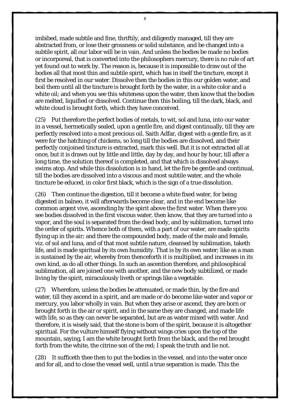imbibed, made subtile and fine, thriftily, and diligently managed, till they are abstracted from, or lose their grossness or solid substance, and be changed into a subtile spirit, all our labor will be in vain. And unless the bodies be made no bodies or incorporeal, that is converted into the philosophers mercury, there is no rule of art yet found out to work by. The reason is, because it is impossible to draw out of the bodies all that most thin and subtile spirit, which has in itself the tincture, except it first be resolved in our water. Dissolve then the bodies in this our golden water, and boil them until all the tincture is brought forth by the water, in a white color and a white oil; and when you see this whiteness upon the water, then know that the bodies are melted, liquified or dissolved. Continue then this boiling, till the dark, black, and white cloud is brought forth, which they have conceived.

(25) Put therefore the perfect bodies of metals, to wit, sol and luna, into our water in a vessel, hermetically sealed, upon a gentle fire, and digest continually, till they are perfectly resolved into a most precious oil. Saith Adfar, digest with a gentle fire, as it were for the hatching of chickens, so long till the bodies are dissolved, and their perfectly conjoined tincture is extracted, mark this well. But it is not extracted all at once, but it is drawn out by little and little, day by day, and hour by hour, till after a long time, the solution thereof is completed, and that which is dissolved always swims atop. And while this dissolution is in hand, let the fire be gentle and continual, till the bodies are dissolved into a viscous and most subtile water, and the whole tincture be educed, in color first black, which is the sign of a true dissolution.

(26) Then continue the digestion, till it become a white fixed water, for being digested in balneo, it will afterwards become clear, and in the end become like common argent vive, ascending by the spirit above the first water. When there you see bodies dissolved in the first viscous water, then know, that they are turned into a vapor, and the soul is separated from the dead body, and by sublimation, turned into the order of spirits. Whence both of them, with a part of our water, are made spirits flying up in the air; and there the compounded body, made of the male and female, viz. of sol and luna, and of that most subtile nature, cleansed by sublimation, taketh life, and is made spiritual by its own humidity. That is by its own water; like as a man is sustained by the air, whereby from thenceforth it is multiplied, and increases in its own kind, as do all other things. In such an ascention therefore, and philosophical sublimation, all are joined one with another, and the new body subtilized, or made living by the spirit, miraculously liveth or springs like a vegetable.

(27) Wherefore, unless the bodies be attenuated, or made thin, by the fire and water, till they ascend in a spirit, and are made or do become like water and vapor or mercury, you labor wholly in vain. But when they arise or ascend, they are born or brought forth in the air or spirit, and in the same they are changed, and made life with life, so as they can never be separated, but are as water mixed with water. And therefore, it is wisely said, that the stone is born of the spirit, because it is altogether spiritual. For the vulture himself flying without wings cries upon the top of the mountain, saying, I am the white brought forth from the black, and the red brought forth from the white, the citrine son of the red; I speak the truth and lie not.

(28) It sufficeth thee then to put the bodies in the vessel, and into the water once and for all, and to close the vessel well, until a true separation is made. This the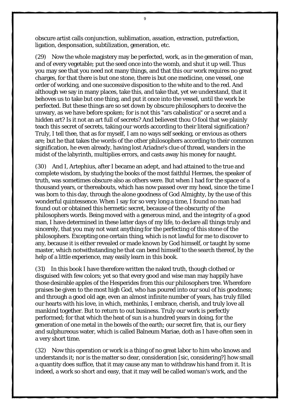obscure artist calls conjunction, sublimation, assation, extraction, putrefaction, ligation, desponsation, subtilization, generation, etc.

(29) Now the whole magistery may be perfected, work, as in the generation of man, and of every vegetable; put the seed once into the womb, and shut it up well. Thus you may see that you need not many things, and that this our work requires no great charges, for that there is but one stone, there is but one medicine, one vessel, one order of working, and one successive disposition to the white and to the red. And although we say in many places, take this, and take that, yet we understand, that it behoves us to take but one thing, and put it once into the vessel, until the work be perfected. But these things are so set down by obscure philosophers to deceive the unwary, as we have before spoken; for is not this "ars cabalistica" or a secret and a hidden art? Is it not an art full of secrets? And believest thou O fool that we plainly teach this secret of secrets, taking our words according to their literal signification? Truly, I tell thee, that as for myself, I am no ways self seeking, or envious as others are; but he that takes the words of the other philosophers according to their common signification, he even already, having lost Ariadne's clue of thread, wanders in the midst of the labyrinth, multiplies errors, and casts away his money for naught.

(30) And I, Artephius, after I became an adept, and had attained to the true and complete wisdom, by studying the books of the most faithful Hermes, the speaker of truth, was sometimes obscure also as others were. But when I had for the space of a thousand years, or thereabouts, which has now passed over my head, since the time I was born to this day, through the alone goodness of God Almighty, by the use of this wonderful quintessence. When I say for so very long a time, I found no man had found out or obtained this hermetic secret, because of the obscurity of the philosophers words. Being moved with a generous mind, and the integrity of a good man, I have determined in these latter days of my life, to declare all things truly and sincerely, that you may not want anything for the perfecting of this stone of the philosophers. Excepting one certain thing, which is not lawful for me to discover to any, because it is either revealed or made known by God himself, or taught by some master, which notwithstanding he that can bend himself to the search thereof, by the help of a little experience, may easily learn in this book.

(31) In this book I have therefore written the naked truth, though clothed or disguised with few colors; yet so that every good and wise man may happily have those desirable apples of the Hesperides from this our philosophers tree. Wherefore praises be given to the most high God, who has poured into our soul of his goodness; and through a good old age, even an almost infinite number of years, has truly filled our hearts with his love, in which, methinks, I embrace, cherish, and truly love all mankind together. But to return to out business. Truly our work is perfectly performed; for that which the heat of sun is a hundred years in doing, for the generation of one metal in the bowels of the earth; our secret fire, that is, our fiery and sulphureous water, which is called Balneum Mariae, doth as I have often seen in a very short time.

(32) Now this operation or work is a thing of no great labor to him who knows and understands it; nor is the matter so dear, consideration [sic, considering?] how small a quantity does suffice, that it may cause any man to withdraw his hand from it. It is indeed, a work so short and easy, that it may well be called woman's work, and the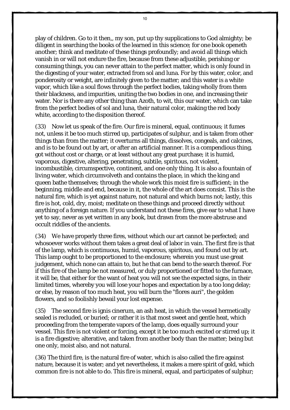play of children. Go to it then,, my son, put up thy supplications to God almighty; be diligent in searching the books of the learned in this science; for one book openeth another; think and meditate of these things profoundly; and avoid all things which vanish in or will not endure the fire, because from these adjustible, perishing or consuming things, you can never attain to the perfect matter, which is only found in the digesting of your water, extracted from sol and luna. For by this water, color, and ponderosity or weight, are infinitely given to the matter; and this water is a white vapor, which like a soul flows through the perfect bodies, taking wholly from them their blackness, and impurities, uniting the two bodies in one, and increasing their water. Nor is there any other thing than Azoth, to wit, this our water, which can take from the perfect bodies of sol and luna, their natural color, making the red body white, according to the disposition thereof.

(33) Now let us speak of the fire. Our fire is mineral, equal, continuous; it fumes not, unless it be too much stirred up, participates of sulphur, and is taken from other things than from the matter; it overturns all things, dissolves, congeals, and calcines, and is to be found out by art, or after an artificial manner. It is a compendious thing, got without cost or charge, or at least without any great purchase; it is humid, vaporous, digestive, altering, penetrating, subtile, spiritous, not violent, incombustible, circumspective, continent, and one only thing. It is also a fountain of living water, which circumvolveth and contains the place, in which the king and queen bathe themselves; through the whole work this moist fire is sufficient; in the beginning, middle and end, because in it, the whole of the art does consist. This is the natural fire, which is yet against nature, not natural and which burns not; lastly, this fire is hot, cold, dry, moist; meditate on these things and proceed directly without anything of a foreign nature. If you understand not these fires, give ear to what I have yet to say, never as yet written in any book, but drawn from the more abstruse and occult riddles of the ancients.

(34) We have properly three fires, without which our art cannot be perfected; and whosoever works without them takes a great deal of labor in vain. The first fire is that of the lamp, which is continuous, humid, vaporous, spiritous, and found out by art. This lamp ought to be proportioned to the enclosure; wherein you must use great judgement, which none can attain to, but he that can bend to the search thereof. For if this fire of the lamp be not measured, or duly proportioned or fitted to the furnace, it will be, that either for the want of heat you will not see the expected signs, in their limited times, whereby you will lose your hopes and expectation by a too long delay; or else, by reason of too much heat, you will burn the "flores auri", the golden flowers, and so foolishly bewail your lost expense.

(35) The second fire is ignis cinerum, an ash heat, in which the vessel hermetically sealed is recluded, or buried; or rather it is that most sweet and gentle heat, which proceeding from the temperate vapors of the lamp, does equally surround your vessel. This fire is not violent or forcing, except it be too much excited or stirred up; it is a fire digestive; alterative, and taken from another body than the matter; being but one only, moist also, and not natural.

(36) The third fire, is the natural fire of water, which is also called the fire against nature, because it is water; and yet nevertheless, it makes a mere spirit of gold, which common fire is not able to do. This fire is mineral, equal, and participates of sulphur;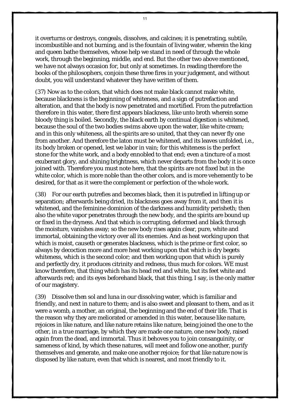it overturns or destroys, congeals, dissolves, and calcines; it is penetrating, subtile, incombustible and not burning, and is the fountain of living water, wherein the king and queen bathe themselves, whose help we stand in need of through the whole work, through the beginning, middle, and end. But the other two above mentioned, we have not always occasion for, but only at sometimes. In reading therefore the books of the philosophers, conjoin these three fires in your judgement, and without doubt, you will understand whatever they have written of them.

(37) Now as to the colors, that which does not make black cannot make white, because blackness is the beginning of whiteness, and a sign of putrefaction and alteration, and that the body is now penetrated and mortified. From the putrefaction therefore in this water, there first appears blackness, like unto broth wherein some bloody thing is boiled. Secondly, the black earth by continual digestion is whitened, because the soul of the two bodies swims above upon the water, like white cream; and in this only whiteness, all the spirits are so united, that they can never fly one from another. And therefore the laton must be whitened, and its leaves unfolded, i.e., its body broken or opened, lest we labor in vain; for this whiteness is the perfect stone for the white work, and a body ennobled to that end; even a tincture of a most exuberant glory, and shining brightness, which never departs from the body it is once joined with. Therefore you must note here, that the spirits are not fixed but in the white color, which is more noble than the other colors, and is more vehemently to be desired, for that as it were the complement or perfection of the whole work.

(38) For our earth putrefies and becomes black, then it is putrefied in lifting up or separation; afterwards being dried, its blackness goes away from it, and then it is whitened, and the feminine dominion of the darkness and humidity perisheth; then also the white vapor penetrates through the new body, and the spirits are bound up or fixed in the dryness. And that which is corrupting, deformed and black through the moisture, vanishes away; so the new body rises again clear, pure, white and immortal, obtaining the victory over all its enemies. And as heat working upon that which is moist, causeth or generates blackness, which is the prime or first color, so always by decoction more and more heat working upon that which is dry begets whiteness, which is the second color; and then working upon that which is purely and perfectly dry, it produces citrinity and redness, thus much for colors. WE must know therefore, that thing which has its head red and white, but its feet white and afterwards red; and its eyes beforehand black, that this thing, I say, is the only matter of our magistery.

(39) Dissolve then sol and luna in our dissolving water, which is familiar and friendly, and next in nature to them; and is also sweet and pleasant to them, and as it were a womb, a mother, an original, the beginning and the end of their life. That is the reason why they are meliorated or amended in this water, because like nature, rejoices in like nature, and like nature retains like nature, being joined the one to the other, in a true marriage, by which they are made one nature, one new body, raised again from the dead, and immortal. Thus it behoves you to join consanguinity, or sameness of kind, by which these natures, will meet and follow one another, purify themselves and generate, and make one another rejoice; for that like nature now is disposed by like nature, even that which is nearest, and most friendly to it.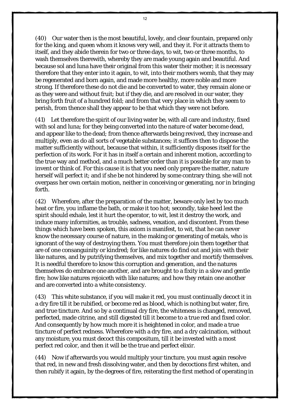(40) Our water then is the most beautiful, lovely, and clear fountain, prepared only for the king, and queen whom it knows very well, and they it. For it attracts them to itself, and they abide therein for two or three days, to wit, two or three months, to wash themselves therewith, whereby they are made young again and beautiful. And because sol and luna have their original from this water their mother; it is necessary therefore that they enter into it again, to wit, into their mothers womb, that they may be regenerated and born again, and made more healthy, more noble and more strong. If therefore these do not die and be converted to water, they remain alone or as they were and without fruit; but if they die, and are resolved in our water, they bring forth fruit of a hundred fold; and from that very place in which they seem to perish, from thence shall they appear to be that which they were not before.

(41) Let therefore the spirit of our living water be, with all care and industry, fixed with sol and luna; for they being converted into the nature of water become dead, and appear like to the dead; from thence afterwards being revived, they increase and multiply, even as do all sorts of vegetable substances; it suffices then to dispose the matter sufficiently without, because that within, it sufficiently disposes itself for the perfection of its work. For it has in itself a certain and inherent motion, according to the true way and method, and a much better order than it is possible for any man to invent or think of. For this cause it is that you need only prepare the matter, nature herself will perfect it; and if she be not hindered by some contrary thing, she will not overpass her own certain motion, neither in conceiving or generating, nor in bringing forth.

(42) Wherefore, after the preparation of the matter, beware only lest by too much heat or fire, you inflame the bath, or make it too hot; secondly, take heed lest the spirit should exhale, lest it hurt the operator, to wit, lest it destroy the work, and induce many informities, as trouble, sadness, vexation, and discontent. From these things which have been spoken, this axiom is manifest, to wit, that he can never know the necessary course of nature, in the making or generating of metals, who is ignorant of the way of destroying them. You must therefore join them together that are of one consanguinity or kindred; for like natures do find out and join with their like natures, and by putrifying themselves, and mix together and mortify themselves. It is needful therefore to know this corruption and generation, and the natures themselves do embrace one another, and are brought to a fixity in a slow and gentle fire; how like natures rejoiceth with like natures; and how they retain one another and are converted into a white consistency.

(43) This white substance, if you will make it red, you must continually decoct it in a dry fire till it be rubified, or become red as blood, which is nothing but water, fire, and true tincture. And so by a continual dry fire, the whiteness is changed, removed, perfected, made citrine, and still digested till it become to a true red and fixed color. And consequently by how much more it is heightened in color, and made a true tincture of perfect redness. Wherefore with a dry fire, and a dry calcination, without any moisture, you must decoct this compositum, till it be invested with a most perfect red color, and then it will be the true and perfect elixir.

(44) Now if afterwards you would multiply your tincture, you must again resolve that red, in new and fresh dissolving water, and then by decoctions first whiten, and then rubify it again, by the degrees of fire, reiterating the first method of operating in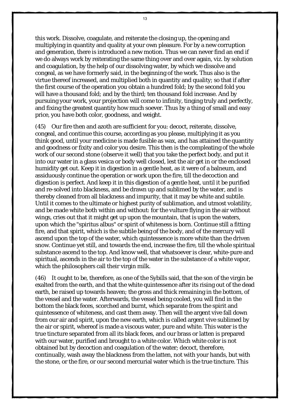this work. Dissolve, coagulate, and reiterate the closing up, the opening and multiplying in quantity and quality at your own pleasure. For by a new corruption and generation, there is introduced a new motion. Thus we can never find an end if we do always work by reiterating the same thing over and over again, viz. by solution and coagulation, by the help of our dissolving water, by which we dissolve and congeal, as we have formerly said, in the beginning of the work. Thus also is the virtue thereof increased, and multiplied both in quantity and quality; so that if after the first course of the operation you obtain a hundred fold; by the second fold you will have a thousand fold; and by the third; ten thousand fold increase. And by pursuing your work, your projection will come to infinity, tinging truly and perfectly, and fixing the greatest quantity how much soever. Thus by a thing of small and easy price, you have both color, goodness, and weight.

(45) Our fire then and azoth are sufficient for you: decoct, reiterate, dissolve, congeal, and continue this course, according as you please, multiplying it as you think good, until your medicine is made fusible as wax, and has attained the quantity and goodness or fixity and color you desire. This then is the compleating of the whole work of our second stone (observe it well) that you take the perfect body, and put it into our water in a glass vesica or body well closed, lest the air get in or the enclosed humidity get out. Keep it in digestion in a gentle heat, as it were of a balneum, and assiduously continue the operation or work upon the fire, till the decoction and digestion is perfect. And keep it in this digestion of a gentle heat, until it be purified and re-solved into blackness, and be drawn up and sublimed by the water, and is thereby cleaned from all blackness and impurity, that it may be white and subtile. Until it comes to the ultimate or highest purity of sublimation, and utmost volatility, and be made white both within and without: for the vulture flying in the air without wings, cries out that it might get up upon the mountain, that is upon the waters, upon which the "spiritus albus" or spirit of whiteness is born. Continue still a fitting fire, and that spirit, which is the subtile being of the body, and of the mercury will ascend upon the top of the water, which quintessence is more white than the driven snow. Continue yet still, and towards the end, increase the fire, till the whole spiritual substance ascend to the top. And know well, that whatsoever is clear, white-pure and spiritual, ascends in the air to the top of the water in the substance of a white vapor, which the philosophers call their virgin milk.

(46) It ought to be, therefore, as one of the Sybills said, that the son of the virgin be exalted from the earth, and that the white quintessence after its rising out of the dead earth, be raised up towards heaven; the gross and thick remaining in the bottom, of the vessel and the water. Afterwards, the vessel being cooled, you will find in the bottom the black feces, scorched and burnt, which separate from the spirit and quintessence of whiteness, and cast them away. Then will the argent vive fall down from our air and spirit, upon the new earth, which is called argent vive sublimed by the air or spirit, whereof is made a viscous water, pure and white. This water is the true tincture separated from all its black feces, and our brass or latten is prepared with our water, purified and brought to a white color. Which white color is not obtained but by decoction and coagulation of the water; decoct, therefore, continually, wash away the blackness from the latten, not with your hands, but with the stone, or the fire, or our second mercurial water which is the true tincture. This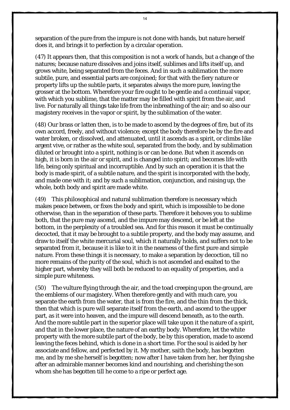separation of the pure from the impure is not done with hands, but nature herself does it, and brings it to perfection by a circular operation.

(47) It appears then, that this composition is not a work of hands, but a change of the natures; because nature dissolves and joins itself, sublimes and lifts itself up, and grows white, being separated from the feces. And in such a sublimation the more subtile, pure, and essential parts are conjoined; for that with the fiery nature or property lifts up the subtile parts, it separates always the more pure, leaving the grosser at the bottom. Wherefore your fire ought to be gentle and a continual vapor, with which you sublime, that the matter may be filled with spirit from the air, and live. For naturally all things take life from the inbreathing of the air; and so also our magistery receives in the vapor or spirit, by the sublimation of the water.

(48) Our brass or latten then, is to be made to ascend by the degrees of fire, but of its own accord, freely, and without violence; except the body therefore be by the fire and water broken, or dissolved, and attenuated, until it ascends as a spirit, or climbs like argent vive, or rather as the white soul, separated from the body, and by sublimation diluted or brought into a spirit, nothing is or can be done. But when it ascends on high, it is born in the air or spirit, and is changed into spirit; and becomes life with life, being only spiritual and incorruptible. And by such an operation it is that the body is made spirit, of a subtile nature, and the spirit is incorporated with the body, and made one with it; and by such a sublimation, conjunction, and raising up, the whole, both body and spirit are made white.

(49) This philosophical and natural sublimation therefore is necessary which makes peace between, or fixes the body and spirit, which is impossible to be done otherwise, than in the separation of these parts. Therefore it behoves you to sublime both, that the pure may ascend, and the impure may descend, or be left at the bottom, in the perplexity of a troubled sea. And for this reason it must be continually decocted, that it may be brought to a subtile property, and the body may assume, and draw to itself the white mercurial soul, which it naturally holds, and suffers not to be separated from it, because it is like to it in the nearness of the first pure and simple nature. From these things it is necessary, to make a separation by decoction, till no more remains of the purity of the soul, which is not ascended and exalted to the higher part, whereby they will both be reduced to an equality of properties, and a simple pure whiteness.

(50) The vulture flying through the air, and the toad creeping upon the ground, are the emblems of our magistery. When therefore gently and with much care, you separate the earth from the water, that is from the fire, and the thin from the thick, then that which is pure will separate itself from the earth, and ascend to the upper part, as it were into heaven, and the impure will descend beneath, as to the earth. And the more subtile part in the superior place will take upon it the nature of a spirit, and that in the lower place, the nature of an earthy body. Wherefore, let the white property with the more subtile part of the body, be by this operation, made to ascend leaving the feces behind, which is done in a short time. For the soul is aided by her associate and fellow, and perfected by it. My mother, saith the body, has begotten me, and by me she herself is begotten; now after I have taken from her, her flying she after an admirable manner becomes kind and nourishing, and cherishing the son whom she has begotten till he come to a ripe or perfect age.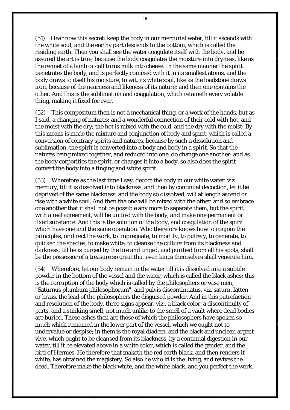(51) Hear now this secret: keep the body in our mercurial water, till it ascends with the white soul, and the earthy part descends to the bottom, which is called the residing earth. Then you shall see the water coagulate itself with the body, and be assured the art is true; because the body coagulates the moisture into dryness, like as the rennet of a lamb or calf turns milk into cheese. In the same manner the spirit penetrates the body, and is perfectly comixed with it in its smallest atoms, and the body draws to itself his moisture, to wit, its white soul, like as the loadstone draws iron, because of the nearness and likeness of its nature; and then one contains the other. And this is the sublimation and coagulation, which retaineth every volatile thing, making it fixed for ever.

(52) This compositum then is not a mechanical thing, or a work of the hands, but as I said, a changing of natures; and a wonderful connection of their cold with hot, and the moist with the dry; the hot is mixed with the cold, and the dry with the moist: By this means is made the mixture and conjunction of body and spirit, which is called a conversion of contrary spirits and natures, because by such a dissolution and sublimation, the spirit is converted into a body and body in a spirit. So that the natures being mixed together, and reduced into one, do change one another: and as the body corporifies the spirit, or changes it into a body, so also does the spirit convert the body into a tinging and white spirit.

(53) Wherefore as the last time I say, decoct the body in our white water, viz. mercury, till it is dissolved into blackness, and then by continual decoction, let it be deprived of the same blackness, and the body so dissolved, will at length ascend or rise with a white soul. And then the one will be mixed with the other, and so embrace one another that it shall not be possible any more to separate them, but the spirit, with a real agreement, will be unified with the body, and make one permanent or fixed substance. And this is the solution of the body, and coagulation of the spirit which have one and the same operation. Who therefore knows how to conjoin the principles, or direct the work, to impregnate, to mortify, to putrefy, to generate, to quicken the species, to make white, to cleanse the culture from its blackness and darkness, till he is purged by the fire and tinged, and purified from all his spots, shall be the possessor of a treasure so great that even kings themselves shall venerate him.

(54) Wherefore, let our body remain in the water till it is dissolved into a subtile powder in the bottom of the vessel and the water, which is called the black ashes; this is the corruption of the body which is called by the philosophers or wise men, "Saturnus plumbum philosophorum", and pulvis discontinuatus, viz. saturn, latten or brass, the lead of the philosophers the disguised powder. And in this putrefaction and resolution of the body, three signs appear, viz., a black color, a discontinuity of parts, and a stinking smell, not much unlike to the smell of a vault where dead bodies are buried. These ashes then are those of which the philosophers have spoken so much which remained in the lower part of the vessel, which we ought not to undervalue or despise; in them is the royal diadem, and the black and unclean argent vive, which ought to be cleansed from its blackness, by a continual digestion in our water, till it be elevated above in a white color, which is called the gander, and the bird of Hermes. He therefore that maketh the red earth black, and then renders it white, has obtained the magistery. So also he who kills the living, and revives the dead. Therefore make the black white, and the white black, and you perfect the work.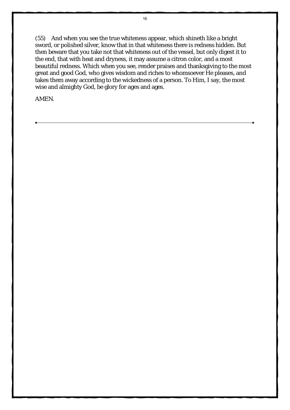(55) And when you see the true whiteness appear, which shineth like a bright sword, or polished silver, know that in that whiteness there is redness hidden. But then beware that you take not that whiteness out of the vessel, but only digest it to the end, that with heat and dryness, it may assume a citron color, and a most beautiful redness. Which when you see, render praises and thanksgiving to the most great and good God, who gives wisdom and riches to whomsoever He pleases, and takes them away according to the wickedness of a person. To Him, I say, the most wise and almighty God, be glory for ages and ages.

AMEN.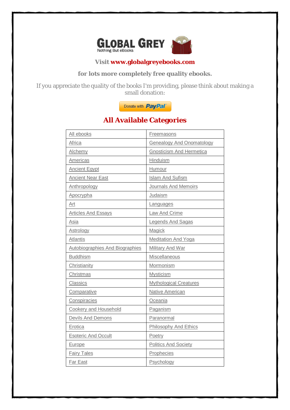

#### **Visit www.globalgreyebooks.com**

### **for lots more completely free quality ebooks.**

If you appreciate the quality of the books I'm providing, please think about making a small donation:

Donate with PayPal

### **All Available Categories**

| All ebooks                             | Freemasons                       |
|----------------------------------------|----------------------------------|
| Africa                                 | <b>Genealogy And Onomatology</b> |
| Alchemy                                | <b>Gnosticism And Hermetica</b>  |
| Americas                               | Hinduism                         |
| <b>Ancient Egypt</b>                   | Humour                           |
| <b>Ancient Near East</b>               | <b>Islam And Sufism</b>          |
| Anthropology                           | <b>Journals And Memoirs</b>      |
| Apocrypha                              | Judaism                          |
| <b>Art</b>                             | Languages                        |
| <b>Articles And Essays</b>             | Law And Crime                    |
| Asia                                   | <b>Legends And Sagas</b>         |
| Astrology                              | Magick                           |
| <b>Atlantis</b>                        | <b>Meditation And Yoga</b>       |
| <b>Autobiographies And Biographies</b> | <b>Military And War</b>          |
| <b>Buddhism</b>                        | Miscellaneous                    |
| Christianity                           | Mormonism                        |
| Christmas                              | <b>Mysticism</b>                 |
| Classics                               | <b>Mythological Creatures</b>    |
| Comparative                            | Native American                  |
| Conspiracies                           | Oceania                          |
| <b>Cookery and Household</b>           | Paganism                         |
| <b>Devils And Demons</b>               | Paranormal                       |
| Erotica                                | <b>Philosophy And Ethics</b>     |
| <b>Esoteric And Occult</b>             | Poetry                           |
| <b>Europe</b>                          | <b>Politics And Society</b>      |
| <b>Fairy Tales</b>                     | Prophecies                       |
| Far East                               | Psychology                       |